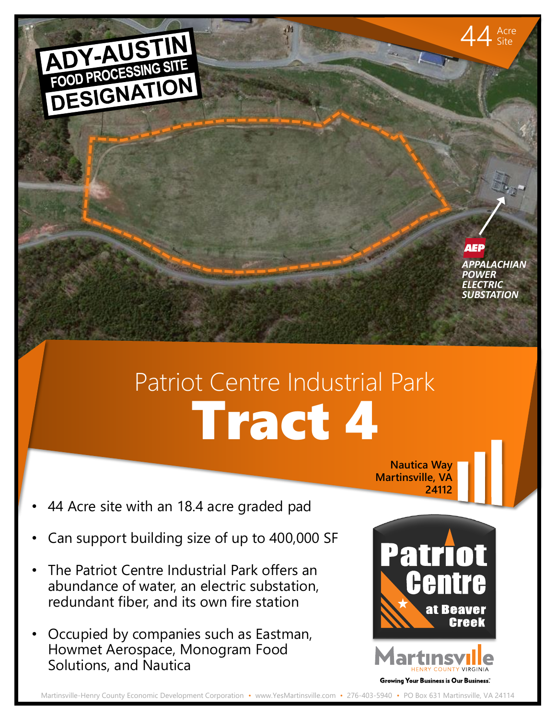

 $44$  Acre Site

## Tract 4 Patriot Centre Industrial Park

44 Acre site with an 18.4 acre graded pad

ADY-AUSTIN

- Can support building size of up to 400,000 SF
- The Patriot Centre Industrial Park offers an abundance of water, an electric substation, redundant fiber, and its own fire station
- Occupied by companies such as Eastman, Howmet Aerospace, Monogram Food Solutions, and Nautica

at Beaver Creek **JNTY VIRGINIA** Growing Your Business is Our Business.

**Nautica Way Martinsville, VA**

**24112**